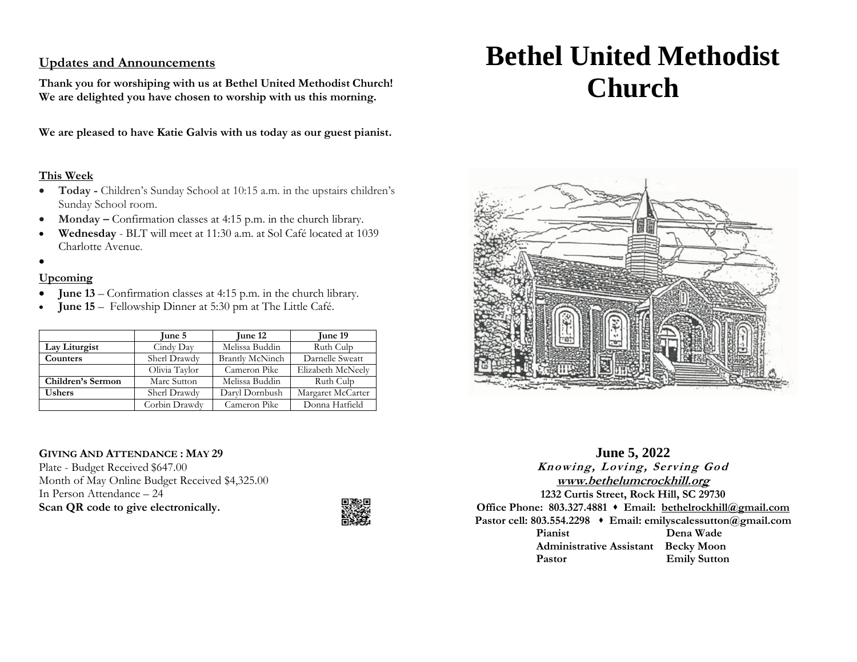# **Updates and Announcements**

**Thank you for worshiping with us at Bethel United Methodist Church! We are delighted you have chosen to worship with us this morning.**

**We are pleased to have Katie Galvis with us today as our guest pianist.**

## **This Week**

- **Today -** Children's Sunday School at 10:15 a.m. in the upstairs children's Sunday School room.
- **Monday –** Confirmation classes at 4:15 p.m. in the church library.
- **Wednesday** BLT will meet at 11:30 a.m. at Sol Café located at 1039 Charlotte Avenue.
- •

## **Upcoming**

- **June 13** Confirmation classes at 4:15 p.m. in the church library.
- **June 15** Fellowship Dinner at 5:30 pm at The Little Café.

|                   | June 5        | <b>June 12</b>         | <b>June 19</b>    |
|-------------------|---------------|------------------------|-------------------|
| Lay Liturgist     | Cindy Day     | Melissa Buddin         | Ruth Culp         |
| Counters          | Sherl Drawdy  | <b>Brantly McNinch</b> | Darnelle Sweatt   |
|                   | Olivia Taylor | Cameron Pike           | Elizabeth McNeely |
| Children's Sermon | Marc Sutton   | Melissa Buddin         | Ruth Culp         |
| <b>Ushers</b>     | Sherl Drawdy  | Daryl Dornbush         | Margaret McCarter |
|                   | Corbin Drawdy | Cameron Pike           | Donna Hatfield    |

### **GIVING AND ATTENDANCE : MAY 29**

Plate - Budget Received \$647.00 Month of May Online Budget Received \$4,325.00 In Person Attendance – 24 **Scan QR code to give electronically.**



# **Bethel United Methodist Church**



**June 5, 2022 Knowing, Loving, Serving God [www.bethelumcrockhill.org](http://www.bethelrockhill.org/) 1232 Curtis Street, Rock Hill, SC 29730 Office Phone: 803.327.4881** ⬧ **Email: [bethelrockhill@gmail.com](mailto:bethelrockhill@gmail.com) Pastor cell: 803.554.2298** ⬧ **Email: emilyscalessutton@gmail.com Pianist Dena Wade Administrative Assistant Becky Moon** Pastor **Emily Sutton**